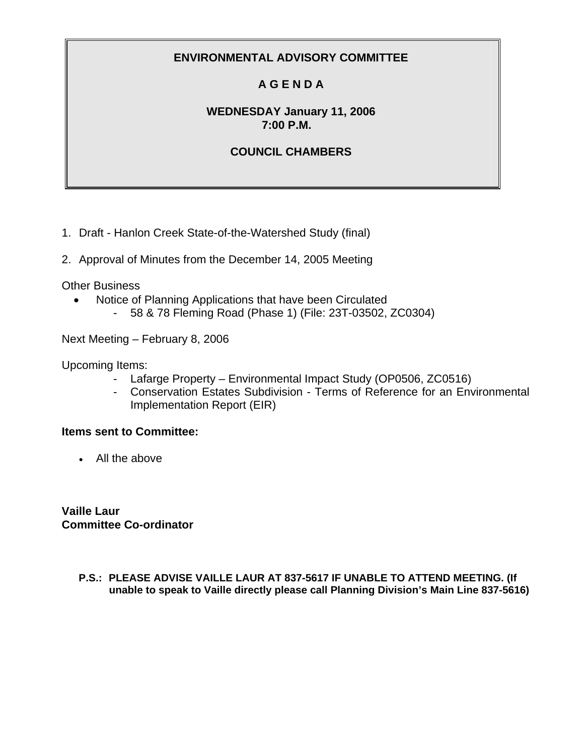# **A G E N D A**

## **WEDNESDAY January 11, 2006 7:00 P.M.**

## **COUNCIL CHAMBERS**

1. Draft - Hanlon Creek State-of-the-Watershed Study (final)

2. Approval of Minutes from the December 14, 2005 Meeting

Other Business

- Notice of Planning Applications that have been Circulated
	- 58 & 78 Fleming Road (Phase 1) (File: 23T-03502, ZC0304)

Next Meeting – February 8, 2006

Upcoming Items:

- Lafarge Property Environmental Impact Study (OP0506, ZC0516)
- Conservation Estates Subdivision Terms of Reference for an Environmental Implementation Report (EIR)

## **Items sent to Committee:**

• All the above

**Vaille Laur Committee Co-ordinator** 

> **P.S.: PLEASE ADVISE VAILLE LAUR AT 837-5617 IF UNABLE TO ATTEND MEETING. (If unable to speak to Vaille directly please call Planning Division's Main Line 837-5616)**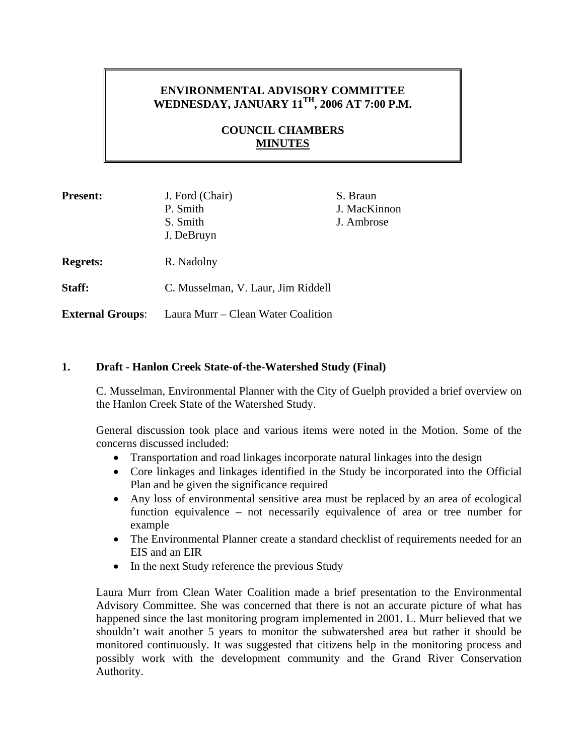## **ENVIRONMENTAL ADVISORY COMMITTEE WEDNESDAY, JANUARY 11TH, 2006 AT 7:00 P.M.**

## **COUNCIL CHAMBERS MINUTES**

| <b>Present:</b>         | J. Ford (Chair)<br>P. Smith<br>S. Smith<br>J. DeBruyn | S. Braun<br>J. MacKinnon<br>J. Ambrose |
|-------------------------|-------------------------------------------------------|----------------------------------------|
| <b>Regrets:</b>         | R. Nadolny                                            |                                        |
| Staff:                  | C. Musselman, V. Laur, Jim Riddell                    |                                        |
| <b>External Groups:</b> | Laura Murr – Clean Water Coalition                    |                                        |

#### **1. Draft - Hanlon Creek State-of-the-Watershed Study (Final)**

C. Musselman, Environmental Planner with the City of Guelph provided a brief overview on the Hanlon Creek State of the Watershed Study.

General discussion took place and various items were noted in the Motion. Some of the concerns discussed included:

- Transportation and road linkages incorporate natural linkages into the design
- Core linkages and linkages identified in the Study be incorporated into the Official Plan and be given the significance required
- Any loss of environmental sensitive area must be replaced by an area of ecological function equivalence – not necessarily equivalence of area or tree number for example
- The Environmental Planner create a standard checklist of requirements needed for an EIS and an EIR
- In the next Study reference the previous Study

Laura Murr from Clean Water Coalition made a brief presentation to the Environmental Advisory Committee. She was concerned that there is not an accurate picture of what has happened since the last monitoring program implemented in 2001. L. Murr believed that we shouldn't wait another 5 years to monitor the subwatershed area but rather it should be monitored continuously. It was suggested that citizens help in the monitoring process and possibly work with the development community and the Grand River Conservation Authority.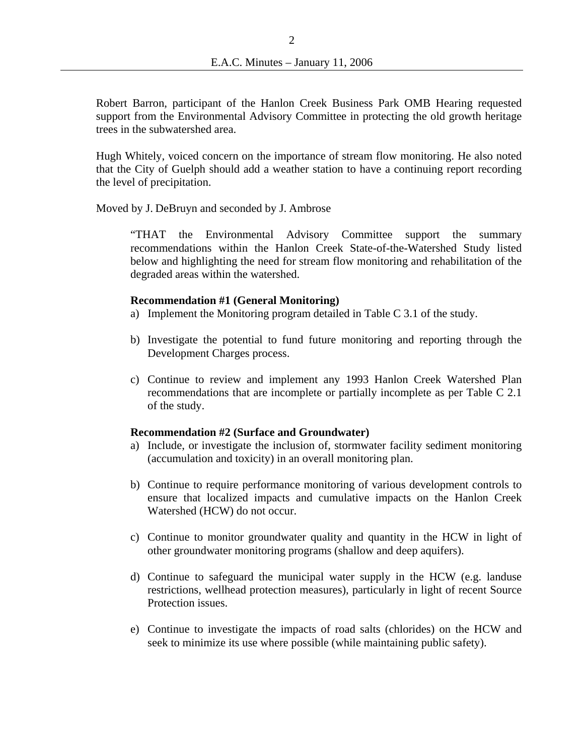Robert Barron, participant of the Hanlon Creek Business Park OMB Hearing requested support from the Environmental Advisory Committee in protecting the old growth heritage trees in the subwatershed area.

Hugh Whitely, voiced concern on the importance of stream flow monitoring. He also noted that the City of Guelph should add a weather station to have a continuing report recording the level of precipitation.

Moved by J. DeBruyn and seconded by J. Ambrose

"THAT the Environmental Advisory Committee support the summary recommendations within the Hanlon Creek State-of-the-Watershed Study listed below and highlighting the need for stream flow monitoring and rehabilitation of the degraded areas within the watershed.

#### **Recommendation #1 (General Monitoring)**

- a) Implement the Monitoring program detailed in Table C 3.1 of the study.
- b) Investigate the potential to fund future monitoring and reporting through the Development Charges process.
- c) Continue to review and implement any 1993 Hanlon Creek Watershed Plan recommendations that are incomplete or partially incomplete as per Table C 2.1 of the study.

#### **Recommendation #2 (Surface and Groundwater)**

- a) Include, or investigate the inclusion of, stormwater facility sediment monitoring (accumulation and toxicity) in an overall monitoring plan.
- b) Continue to require performance monitoring of various development controls to ensure that localized impacts and cumulative impacts on the Hanlon Creek Watershed (HCW) do not occur.
- c) Continue to monitor groundwater quality and quantity in the HCW in light of other groundwater monitoring programs (shallow and deep aquifers).
- d) Continue to safeguard the municipal water supply in the HCW (e.g. landuse restrictions, wellhead protection measures), particularly in light of recent Source Protection issues.
- e) Continue to investigate the impacts of road salts (chlorides) on the HCW and seek to minimize its use where possible (while maintaining public safety).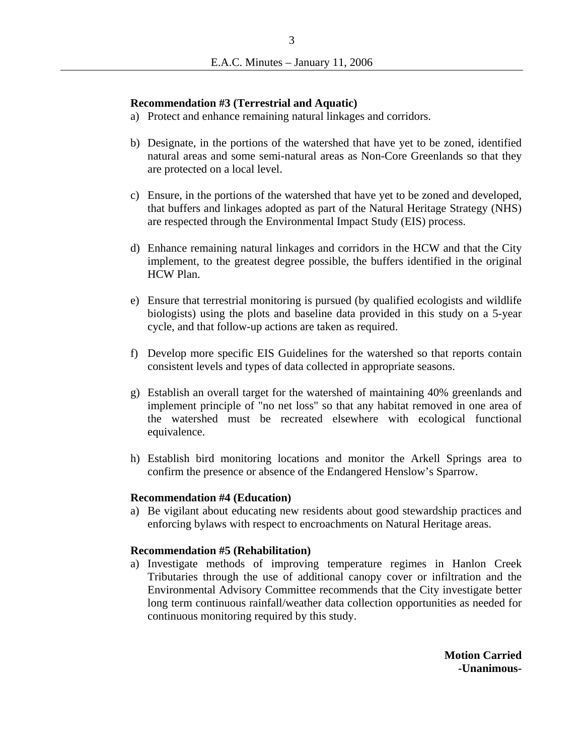#### **Recommendation #3 (Terrestrial and Aquatic)**

- a) Protect and enhance remaining natural linkages and corridors.
- b) Designate, in the portions of the watershed that have yet to be zoned, identified natural areas and some semi-natural areas as Non-Core Greenlands so that they are protected on a local level.
- c) Ensure, in the portions of the watershed that have yet to be zoned and developed, that buffers and linkages adopted as part of the Natural Heritage Strategy (NHS) are respected through the Environmental Impact Study (EIS) process.
- d) Enhance remaining natural linkages and corridors in the HCW and that the City implement, to the greatest degree possible, the buffers identified in the original HCW Plan.
- e) Ensure that terrestrial monitoring is pursued (by qualified ecologists and wildlife biologists) using the plots and baseline data provided in this study on a 5-year cycle, and that follow-up actions are taken as required.
- f) Develop more specific EIS Guidelines for the watershed so that reports contain consistent levels and types of data collected in appropriate seasons.
- g) Establish an overall target for the watershed of maintaining 40% greenlands and implement principle of "no net loss" so that any habitat removed in one area of the watershed must be recreated elsewhere with ecological functional equivalence.
- h) Establish bird monitoring locations and monitor the Arkell Springs area to confirm the presence or absence of the Endangered Henslow's Sparrow.

#### **Recommendation #4 (Education)**

a) Be vigilant about educating new residents about good stewardship practices and enforcing bylaws with respect to encroachments on Natural Heritage areas.

#### **Recommendation #5 (Rehabilitation)**

a) Investigate methods of improving temperature regimes in Hanlon Creek Tributaries through the use of additional canopy cover or infiltration and the Environmental Advisory Committee recommends that the City investigate better long term continuous rainfall/weather data collection opportunities as needed for continuous monitoring required by this study.

> **Motion Carried -Unanimous-**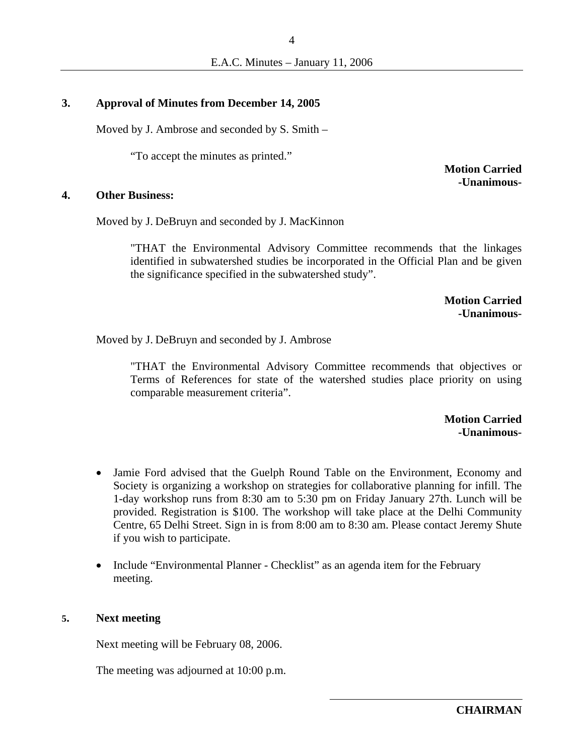### **3. Approval of Minutes from December 14, 2005**

Moved by J. Ambrose and seconded by S. Smith –

"To accept the minutes as printed."

**Motion Carried -Unanimous-**

#### **4. Other Business:**

Moved by J. DeBruyn and seconded by J. MacKinnon

"THAT the Environmental Advisory Committee recommends that the linkages identified in subwatershed studies be incorporated in the Official Plan and be given the significance specified in the subwatershed study".

> **Motion Carried -Unanimous-**

Moved by J. DeBruyn and seconded by J. Ambrose

"THAT the Environmental Advisory Committee recommends that objectives or Terms of References for state of the watershed studies place priority on using comparable measurement criteria".

> **Motion Carried -Unanimous-**

- Jamie Ford advised that the Guelph Round Table on the Environment, Economy and Society is organizing a workshop on strategies for collaborative planning for infill. The 1-day workshop runs from 8:30 am to 5:30 pm on Friday January 27th. Lunch will be provided. Registration is \$100. The workshop will take place at the Delhi Community Centre, 65 Delhi Street. Sign in is from 8:00 am to 8:30 am. Please contact Jeremy Shute if you wish to participate.
- Include "Environmental Planner Checklist" as an agenda item for the February meeting.

#### **5. Next meeting**

Next meeting will be February 08, 2006.

The meeting was adjourned at 10:00 p.m.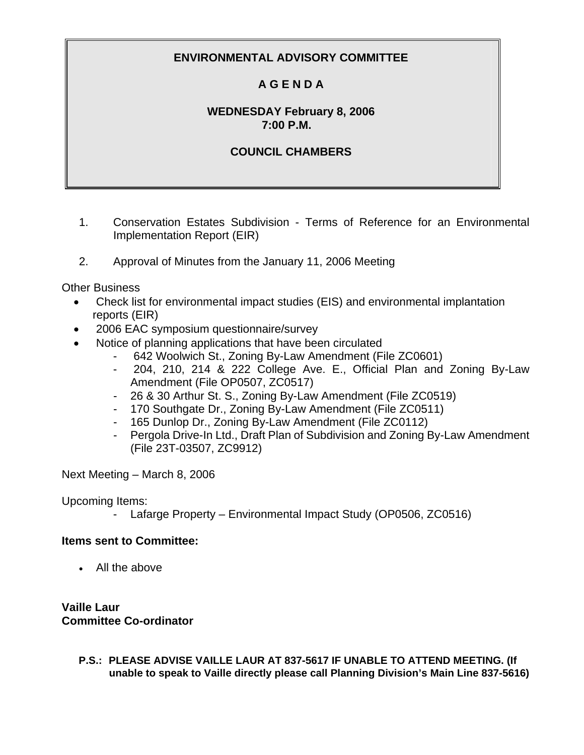# **A G E N D A**

## **WEDNESDAY February 8, 2006 7:00 P.M.**

## **COUNCIL CHAMBERS**

- 1. Conservation Estates Subdivision Terms of Reference for an Environmental Implementation Report (EIR)
- 2. Approval of Minutes from the January 11, 2006 Meeting

Other Business

- Check list for environmental impact studies (EIS) and environmental implantation reports (EIR)
- 2006 EAC symposium questionnaire/survey
- Notice of planning applications that have been circulated
	- 642 Woolwich St., Zoning By-Law Amendment (File ZC0601)
	- 204, 210, 214 & 222 College Ave. E., Official Plan and Zoning By-Law Amendment (File OP0507, ZC0517)
	- 26 & 30 Arthur St. S., Zoning By-Law Amendment (File ZC0519)
	- 170 Southgate Dr., Zoning By-Law Amendment (File ZC0511)
	- 165 Dunlop Dr., Zoning By-Law Amendment (File ZC0112)
	- Pergola Drive-In Ltd., Draft Plan of Subdivision and Zoning By-Law Amendment (File 23T-03507, ZC9912)

Next Meeting – March 8, 2006

Upcoming Items:

- Lafarge Property – Environmental Impact Study (OP0506, ZC0516)

## **Items sent to Committee:**

• All the above

**Vaille Laur Committee Co-ordinator** 

> **P.S.: PLEASE ADVISE VAILLE LAUR AT 837-5617 IF UNABLE TO ATTEND MEETING. (If unable to speak to Vaille directly please call Planning Division's Main Line 837-5616)**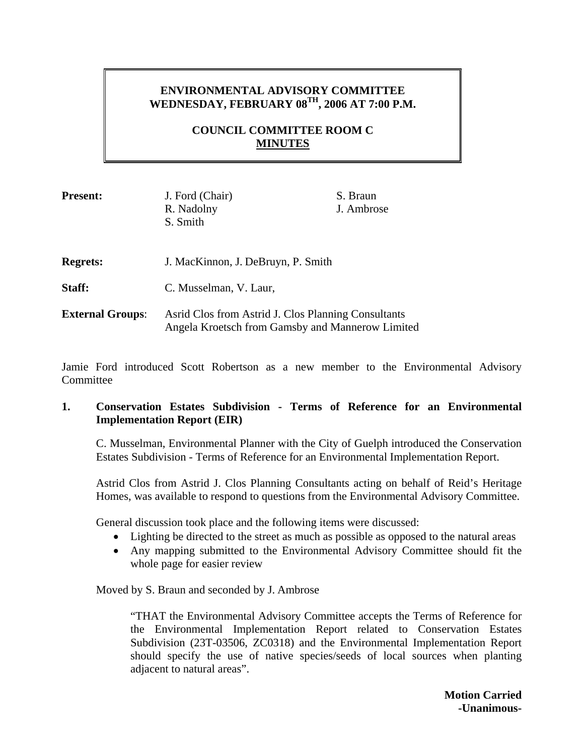## **ENVIRONMENTAL ADVISORY COMMITTEE WEDNESDAY, FEBRUARY 08TH, 2006 AT 7:00 P.M.**

## **COUNCIL COMMITTEE ROOM C MINUTES**

| <b>Present:</b>         | J. Ford (Chair)<br>R. Nadolny<br>S. Smith                                                               | S. Braun<br>J. Ambrose |
|-------------------------|---------------------------------------------------------------------------------------------------------|------------------------|
| <b>Regrets:</b>         | J. MacKinnon, J. DeBruyn, P. Smith                                                                      |                        |
| <b>Staff:</b>           | C. Musselman, V. Laur,                                                                                  |                        |
| <b>External Groups:</b> | Asrid Clos from Astrid J. Clos Planning Consultants<br>Angela Kroetsch from Gamsby and Mannerow Limited |                        |

Jamie Ford introduced Scott Robertson as a new member to the Environmental Advisory **Committee** 

### **1. Conservation Estates Subdivision - Terms of Reference for an Environmental Implementation Report (EIR)**

C. Musselman, Environmental Planner with the City of Guelph introduced the Conservation Estates Subdivision - Terms of Reference for an Environmental Implementation Report.

Astrid Clos from Astrid J. Clos Planning Consultants acting on behalf of Reid's Heritage Homes, was available to respond to questions from the Environmental Advisory Committee.

General discussion took place and the following items were discussed:

- Lighting be directed to the street as much as possible as opposed to the natural areas
- Any mapping submitted to the Environmental Advisory Committee should fit the whole page for easier review

Moved by S. Braun and seconded by J. Ambrose

"THAT the Environmental Advisory Committee accepts the Terms of Reference for the Environmental Implementation Report related to Conservation Estates Subdivision (23T-03506, ZC0318) and the Environmental Implementation Report should specify the use of native species/seeds of local sources when planting adjacent to natural areas".

> **Motion Carried -Unanimous-**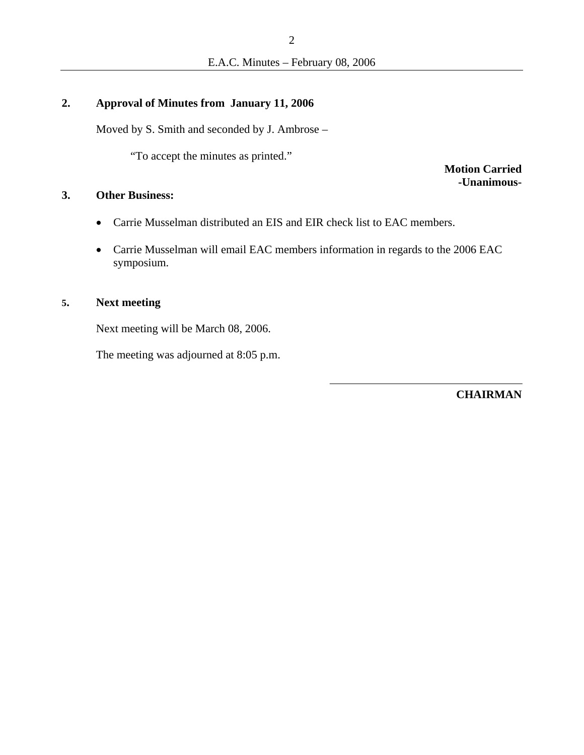## **2. Approval of Minutes from January 11, 2006**

Moved by S. Smith and seconded by J. Ambrose –

"To accept the minutes as printed."

**Motion Carried -Unanimous-**

### **3. Other Business:**

- Carrie Musselman distributed an EIS and EIR check list to EAC members.
- Carrie Musselman will email EAC members information in regards to the 2006 EAC symposium.

## **5. Next meeting**

Next meeting will be March 08, 2006.

The meeting was adjourned at 8:05 p.m.

**CHAIRMAN**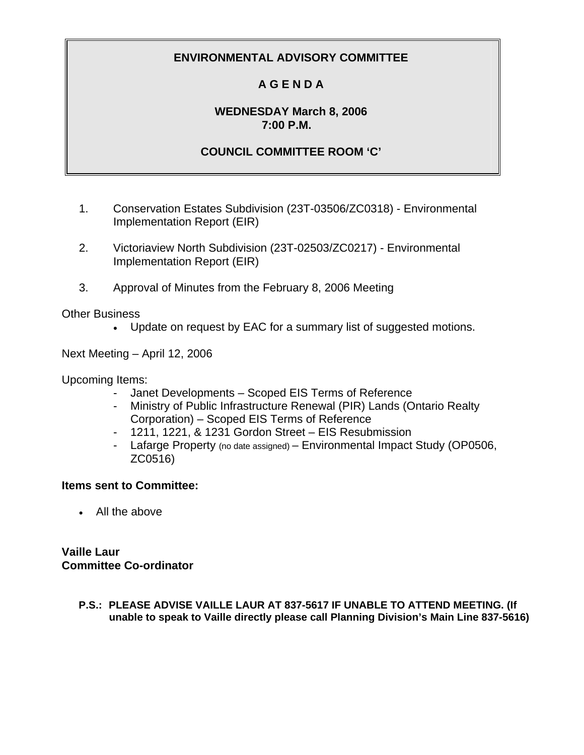# **A G E N D A**

## **WEDNESDAY March 8, 2006 7:00 P.M.**

## **COUNCIL COMMITTEE ROOM 'C'**

- 1. Conservation Estates Subdivision (23T-03506/ZC0318) Environmental Implementation Report (EIR)
- 2. Victoriaview North Subdivision (23T-02503/ZC0217) Environmental Implementation Report (EIR)
- 3. Approval of Minutes from the February 8, 2006 Meeting

Other Business

• Update on request by EAC for a summary list of suggested motions.

Next Meeting – April 12, 2006

Upcoming Items:

- Janet Developments Scoped EIS Terms of Reference
- Ministry of Public Infrastructure Renewal (PIR) Lands (Ontario Realty Corporation) – Scoped EIS Terms of Reference
- 1211, 1221, & 1231 Gordon Street EIS Resubmission
- Lafarge Property (no date assigned) Environmental Impact Study (OP0506, ZC0516)

## **Items sent to Committee:**

• All the above

**Vaille Laur Committee Co-ordinator** 

> **P.S.: PLEASE ADVISE VAILLE LAUR AT 837-5617 IF UNABLE TO ATTEND MEETING. (If unable to speak to Vaille directly please call Planning Division's Main Line 837-5616)**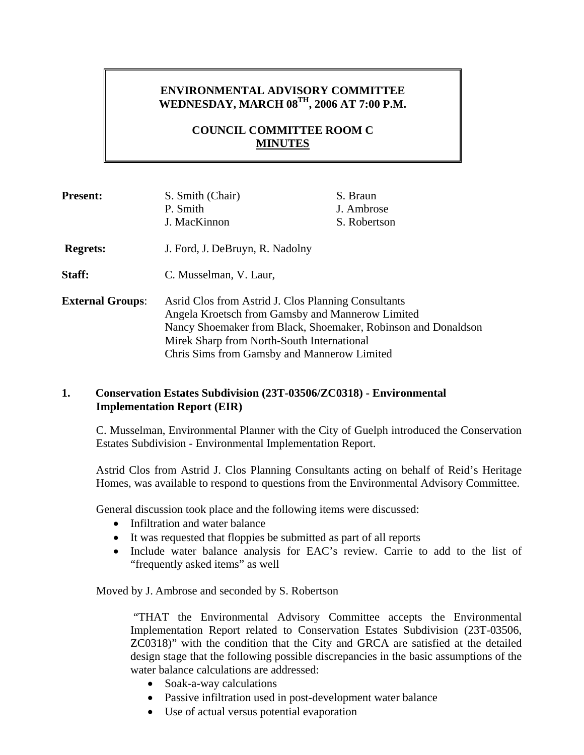## **ENVIRONMENTAL ADVISORY COMMITTEE WEDNESDAY, MARCH 08TH, 2006 AT 7:00 P.M.**

## **COUNCIL COMMITTEE ROOM C MINUTES**

| <b>Present:</b>         | S. Smith (Chair)<br>P. Smith                                                                                                                                                                                                                                          | S. Braun<br>J. Ambrose |
|-------------------------|-----------------------------------------------------------------------------------------------------------------------------------------------------------------------------------------------------------------------------------------------------------------------|------------------------|
|                         | J. MacKinnon                                                                                                                                                                                                                                                          | S. Robertson           |
| <b>Regrets:</b>         | J. Ford, J. DeBruyn, R. Nadolny                                                                                                                                                                                                                                       |                        |
| Staff:                  | C. Musselman, V. Laur,                                                                                                                                                                                                                                                |                        |
| <b>External Groups:</b> | Asrid Clos from Astrid J. Clos Planning Consultants<br>Angela Kroetsch from Gamsby and Mannerow Limited<br>Nancy Shoemaker from Black, Shoemaker, Robinson and Donaldson<br>Mirek Sharp from North-South International<br>Chris Sims from Gamsby and Mannerow Limited |                        |

### **1. Conservation Estates Subdivision (23T-03506/ZC0318) - Environmental Implementation Report (EIR)**

C. Musselman, Environmental Planner with the City of Guelph introduced the Conservation Estates Subdivision - Environmental Implementation Report.

Astrid Clos from Astrid J. Clos Planning Consultants acting on behalf of Reid's Heritage Homes, was available to respond to questions from the Environmental Advisory Committee.

General discussion took place and the following items were discussed:

- Infiltration and water balance
- It was requested that floppies be submitted as part of all reports
- Include water balance analysis for EAC's review. Carrie to add to the list of "frequently asked items" as well

Moved by J. Ambrose and seconded by S. Robertson

 "THAT the Environmental Advisory Committee accepts the Environmental Implementation Report related to Conservation Estates Subdivision (23T-03506, ZC0318)" with the condition that the City and GRCA are satisfied at the detailed design stage that the following possible discrepancies in the basic assumptions of the water balance calculations are addressed:

- Soak-a-way calculations
- Passive infiltration used in post-development water balance
- Use of actual versus potential evaporation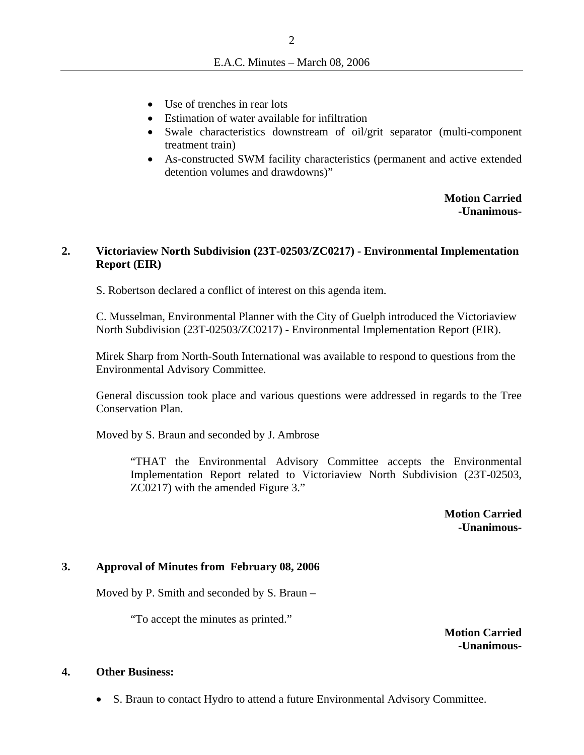- Use of trenches in rear lots
- Estimation of water available for infiltration
- Swale characteristics downstream of oil/grit separator (multi-component treatment train)
- As-constructed SWM facility characteristics (permanent and active extended detention volumes and drawdowns)"

**Motion Carried -Unanimous-**

### **2. Victoriaview North Subdivision (23T-02503/ZC0217) - Environmental Implementation Report (EIR)**

S. Robertson declared a conflict of interest on this agenda item.

C. Musselman, Environmental Planner with the City of Guelph introduced the Victoriaview North Subdivision (23T-02503/ZC0217) - Environmental Implementation Report (EIR).

Mirek Sharp from North-South International was available to respond to questions from the Environmental Advisory Committee.

General discussion took place and various questions were addressed in regards to the Tree Conservation Plan.

Moved by S. Braun and seconded by J. Ambrose

"THAT the Environmental Advisory Committee accepts the Environmental Implementation Report related to Victoriaview North Subdivision (23T-02503, ZC0217) with the amended Figure 3."

> **Motion Carried -Unanimous-**

## **3. Approval of Minutes from February 08, 2006**

Moved by P. Smith and seconded by S. Braun –

"To accept the minutes as printed."

**Motion Carried -Unanimous-**

#### **4. Other Business:**

• S. Braun to contact Hydro to attend a future Environmental Advisory Committee.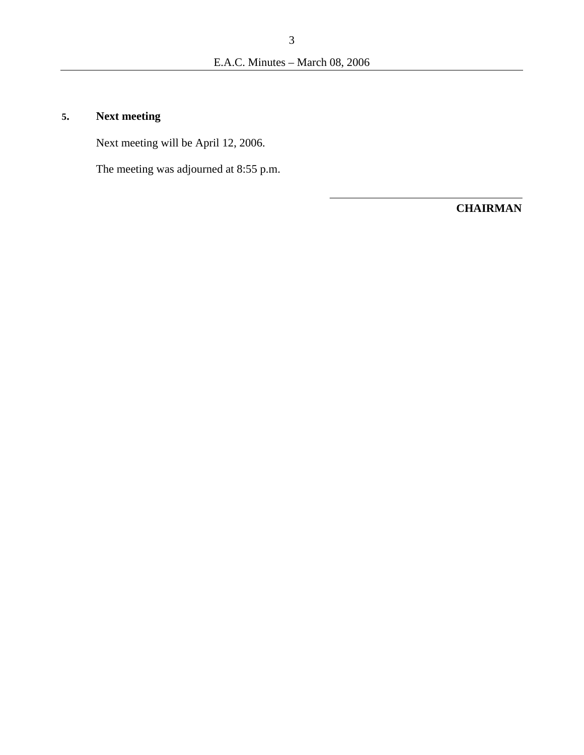# **5. Next meeting**

Next meeting will be April 12, 2006.

The meeting was adjourned at 8:55 p.m.

**CHAIRMAN**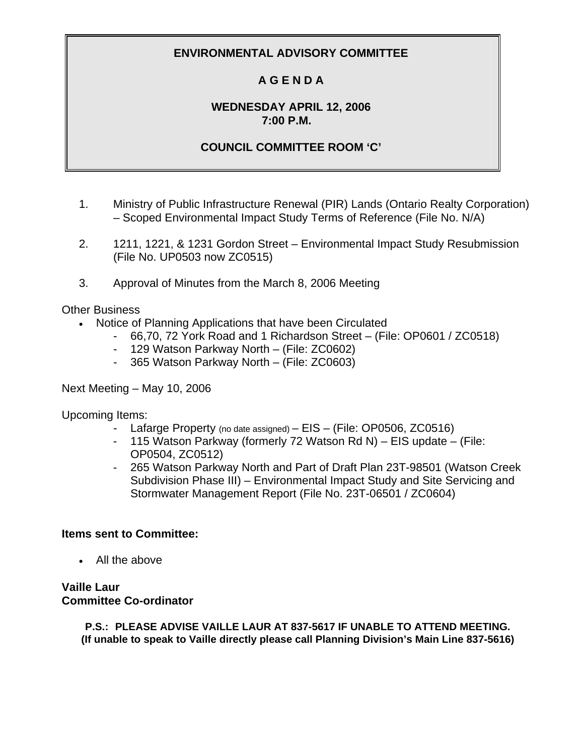# **A G E N D A**

## **WEDNESDAY APRIL 12, 2006 7:00 P.M.**

## **COUNCIL COMMITTEE ROOM 'C'**

- 1. Ministry of Public Infrastructure Renewal (PIR) Lands (Ontario Realty Corporation) – Scoped Environmental Impact Study Terms of Reference (File No. N/A)
- 2. 1211, 1221, & 1231 Gordon Street Environmental Impact Study Resubmission (File No. UP0503 now ZC0515)
- 3. Approval of Minutes from the March 8, 2006 Meeting

Other Business

- Notice of Planning Applications that have been Circulated
	- 66,70, 72 York Road and 1 Richardson Street (File: OP0601 / ZC0518)
	- 129 Watson Parkway North (File: ZC0602)
	- 365 Watson Parkway North (File: ZC0603)

Next Meeting – May 10, 2006

Upcoming Items:

- Lafarge Property (no date assigned) EIS (File: OP0506, ZC0516)
- 115 Watson Parkway (formerly 72 Watson Rd N) EIS update (File: OP0504, ZC0512)
- 265 Watson Parkway North and Part of Draft Plan 23T-98501 (Watson Creek Subdivision Phase III) – Environmental Impact Study and Site Servicing and Stormwater Management Report (File No. 23T-06501 / ZC0604)

#### **Items sent to Committee:**

• All the above

## **Vaille Laur Committee Co-ordinator**

**P.S.: PLEASE ADVISE VAILLE LAUR AT 837-5617 IF UNABLE TO ATTEND MEETING. (If unable to speak to Vaille directly please call Planning Division's Main Line 837-5616)**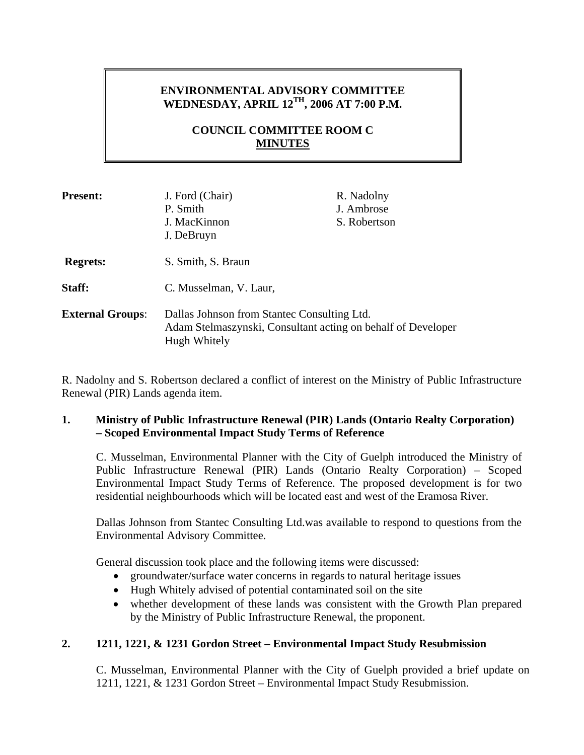# **ENVIRONMENTAL ADVISORY COMMITTEE WEDNESDAY, APRIL 12TH, 2006 AT 7:00 P.M.**

## **COUNCIL COMMITTEE ROOM C MINUTES**

| <b>Present:</b>         | J. Ford (Chair)<br>P. Smith<br>J. MacKinnon<br>J. DeBruyn                                                                   | R. Nadolny<br>J. Ambrose<br>S. Robertson |
|-------------------------|-----------------------------------------------------------------------------------------------------------------------------|------------------------------------------|
| <b>Regrets:</b>         | S. Smith, S. Braun                                                                                                          |                                          |
| Staff:                  | C. Musselman, V. Laur,                                                                                                      |                                          |
| <b>External Groups:</b> | Dallas Johnson from Stantec Consulting Ltd.<br>Adam Stelmaszynski, Consultant acting on behalf of Developer<br>Hugh Whitely |                                          |

R. Nadolny and S. Robertson declared a conflict of interest on the Ministry of Public Infrastructure Renewal (PIR) Lands agenda item.

## **1. Ministry of Public Infrastructure Renewal (PIR) Lands (Ontario Realty Corporation) – Scoped Environmental Impact Study Terms of Reference**

C. Musselman, Environmental Planner with the City of Guelph introduced the Ministry of Public Infrastructure Renewal (PIR) Lands (Ontario Realty Corporation) – Scoped Environmental Impact Study Terms of Reference. The proposed development is for two residential neighbourhoods which will be located east and west of the Eramosa River.

Dallas Johnson from Stantec Consulting Ltd.was available to respond to questions from the Environmental Advisory Committee.

General discussion took place and the following items were discussed:

- groundwater/surface water concerns in regards to natural heritage issues
- Hugh Whitely advised of potential contaminated soil on the site
- whether development of these lands was consistent with the Growth Plan prepared by the Ministry of Public Infrastructure Renewal, the proponent.

## **2. 1211, 1221, & 1231 Gordon Street – Environmental Impact Study Resubmission**

C. Musselman, Environmental Planner with the City of Guelph provided a brief update on 1211, 1221, & 1231 Gordon Street – Environmental Impact Study Resubmission.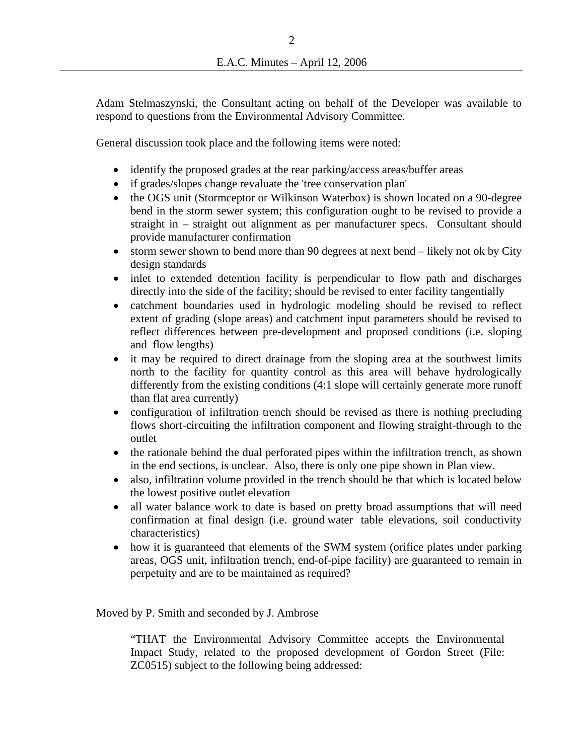Adam Stelmaszynski, the Consultant acting on behalf of the Developer was available to respond to questions from the Environmental Advisory Committee.

General discussion took place and the following items were noted:

- identify the proposed grades at the rear parking/access areas/buffer areas
- if grades/slopes change revaluate the 'tree conservation plan'
- the OGS unit (Stormceptor or Wilkinson Waterbox) is shown located on a 90-degree bend in the storm sewer system; this configuration ought to be revised to provide a straight in – straight out alignment as per manufacturer specs. Consultant should provide manufacturer confirmation
- storm sewer shown to bend more than 90 degrees at next bend likely not ok by City design standards
- inlet to extended detention facility is perpendicular to flow path and discharges directly into the side of the facility; should be revised to enter facility tangentially
- catchment boundaries used in hydrologic modeling should be revised to reflect extent of grading (slope areas) and catchment input parameters should be revised to reflect differences between pre-development and proposed conditions (i.e. sloping and flow lengths)
- it may be required to direct drainage from the sloping area at the southwest limits north to the facility for quantity control as this area will behave hydrologically differently from the existing conditions (4:1 slope will certainly generate more runoff than flat area currently)
- configuration of infiltration trench should be revised as there is nothing precluding flows short-circuiting the infiltration component and flowing straight-through to the outlet
- the rationale behind the dual perforated pipes within the infiltration trench, as shown in the end sections, is unclear. Also, there is only one pipe shown in Plan view.
- also, infiltration volume provided in the trench should be that which is located below the lowest positive outlet elevation
- all water balance work to date is based on pretty broad assumptions that will need confirmation at final design (i.e. ground water table elevations, soil conductivity characteristics)
- how it is guaranteed that elements of the SWM system (orifice plates under parking areas, OGS unit, infiltration trench, end-of-pipe facility) are guaranteed to remain in perpetuity and are to be maintained as required?

Moved by P. Smith and seconded by J. Ambrose

"THAT the Environmental Advisory Committee accepts the Environmental Impact Study, related to the proposed development of Gordon Street (File: ZC0515) subject to the following being addressed: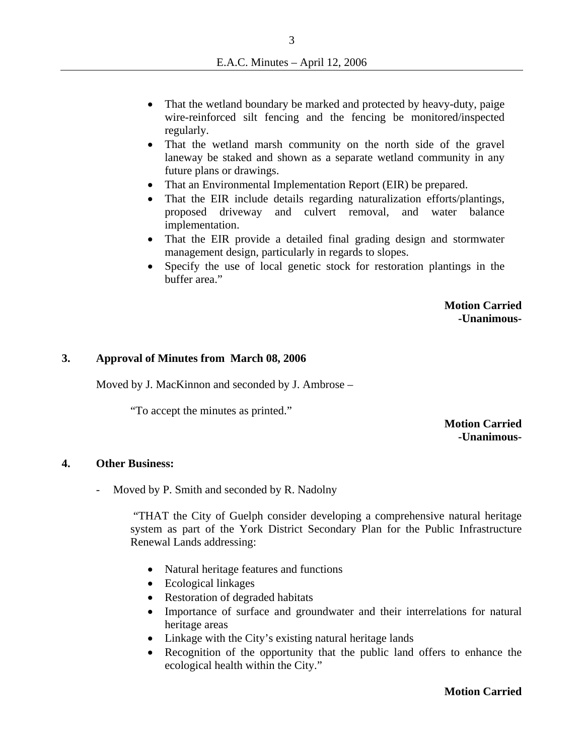- That the wetland boundary be marked and protected by heavy-duty, paige wire-reinforced silt fencing and the fencing be monitored/inspected regularly.
- That the wetland marsh community on the north side of the gravel laneway be staked and shown as a separate wetland community in any future plans or drawings.
- That an Environmental Implementation Report (EIR) be prepared.
- That the EIR include details regarding naturalization efforts/plantings, proposed driveway and culvert removal, and water balance implementation.
- That the EIR provide a detailed final grading design and stormwater management design, particularly in regards to slopes.
- Specify the use of local genetic stock for restoration plantings in the buffer area."

**Motion Carried -Unanimous-**

#### **3. Approval of Minutes from March 08, 2006**

Moved by J. MacKinnon and seconded by J. Ambrose –

"To accept the minutes as printed."

### **Motion Carried -Unanimous-**

#### **4. Other Business:**

- Moved by P. Smith and seconded by R. Nadolny

 "THAT the City of Guelph consider developing a comprehensive natural heritage system as part of the York District Secondary Plan for the Public Infrastructure Renewal Lands addressing:

- Natural heritage features and functions
- Ecological linkages
- Restoration of degraded habitats
- Importance of surface and groundwater and their interrelations for natural heritage areas
- Linkage with the City's existing natural heritage lands
- Recognition of the opportunity that the public land offers to enhance the ecological health within the City."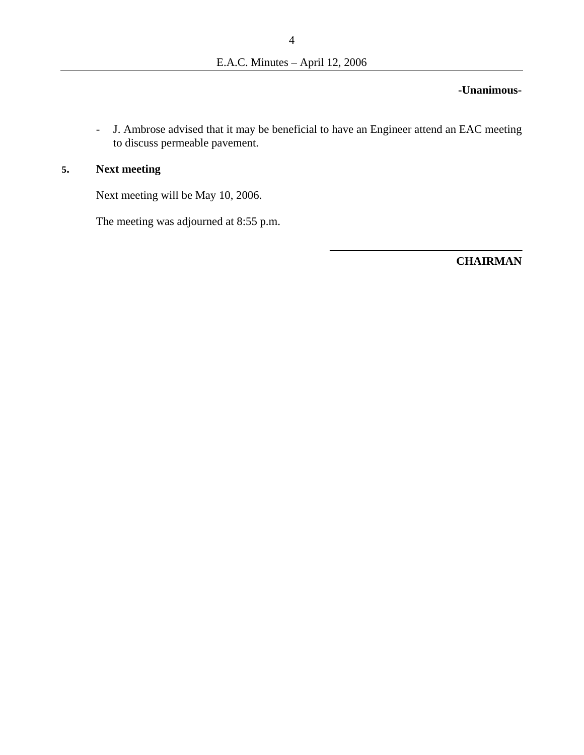### **-Unanimous-**

- J. Ambrose advised that it may be beneficial to have an Engineer attend an EAC meeting to discuss permeable pavement.

## **5. Next meeting**

Next meeting will be May 10, 2006.

The meeting was adjourned at 8:55 p.m.

**CHAIRMAN**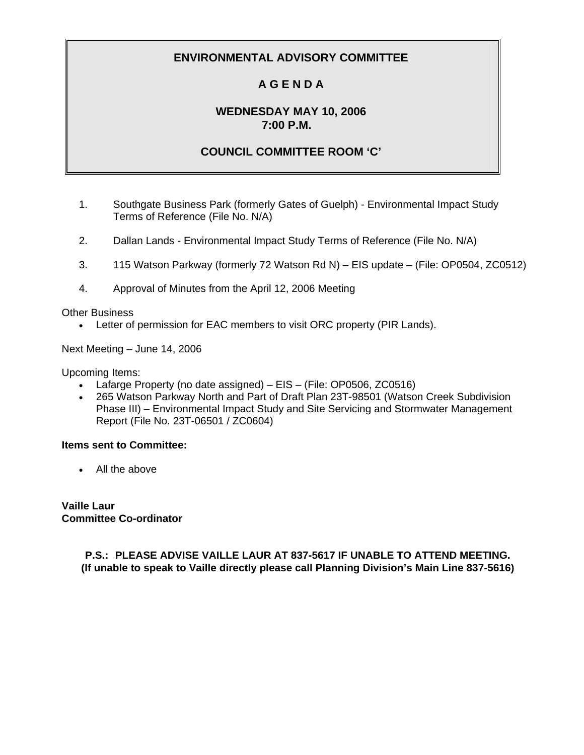# **A G E N D A**

## **WEDNESDAY MAY 10, 2006 7:00 P.M.**

## **COUNCIL COMMITTEE ROOM 'C'**

- 1. Southgate Business Park (formerly Gates of Guelph) Environmental Impact Study Terms of Reference (File No. N/A)
- 2. Dallan Lands Environmental Impact Study Terms of Reference (File No. N/A)
- 3. 115 Watson Parkway (formerly 72 Watson Rd N) EIS update (File: OP0504, ZC0512)
- 4. Approval of Minutes from the April 12, 2006 Meeting

Other Business

• Letter of permission for EAC members to visit ORC property (PIR Lands).

Next Meeting – June 14, 2006

Upcoming Items:

- Lafarge Property (no date assigned) EIS (File: OP0506, ZC0516)
- 265 Watson Parkway North and Part of Draft Plan 23T-98501 (Watson Creek Subdivision Phase III) – Environmental Impact Study and Site Servicing and Stormwater Management Report (File No. 23T-06501 / ZC0604)

#### **Items sent to Committee:**

• All the above

**Vaille Laur Committee Co-ordinator** 

> **P.S.: PLEASE ADVISE VAILLE LAUR AT 837-5617 IF UNABLE TO ATTEND MEETING. (If unable to speak to Vaille directly please call Planning Division's Main Line 837-5616)**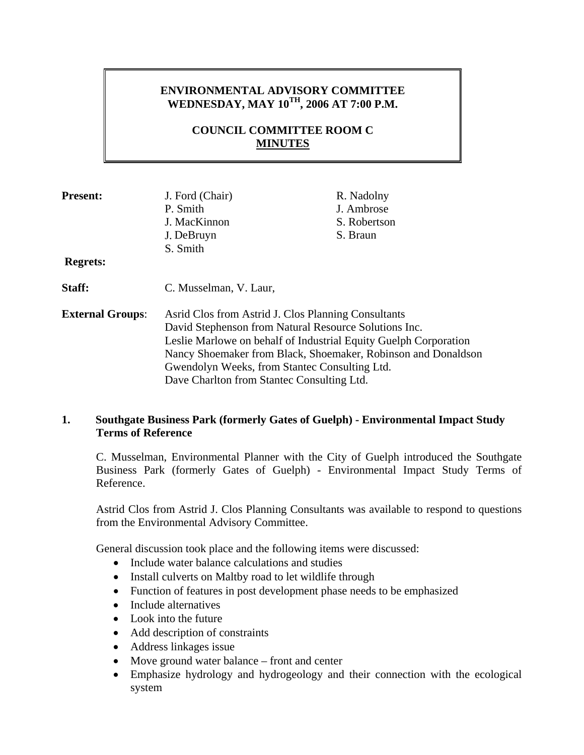## **ENVIRONMENTAL ADVISORY COMMITTEE WEDNESDAY, MAY 10TH, 2006 AT 7:00 P.M.**

## **COUNCIL COMMITTEE ROOM C MINUTES**

| <b>Present:</b>         | J. Ford (Chair)                                                  | R. Nadolny   |  |
|-------------------------|------------------------------------------------------------------|--------------|--|
|                         | P. Smith                                                         | J. Ambrose   |  |
|                         | J. MacKinnon                                                     | S. Robertson |  |
|                         | J. DeBruyn                                                       | S. Braun     |  |
|                         | S. Smith                                                         |              |  |
| <b>Regrets:</b>         |                                                                  |              |  |
| Staff:                  | C. Musselman, V. Laur,                                           |              |  |
| <b>External Groups:</b> | Asrid Clos from Astrid J. Clos Planning Consultants              |              |  |
|                         | David Stephenson from Natural Resource Solutions Inc.            |              |  |
|                         | Leslie Marlowe on behalf of Industrial Equity Guelph Corporation |              |  |
|                         | Nancy Shoemaker from Black, Shoemaker, Robinson and Donaldson    |              |  |
|                         | Gwendolyn Weeks, from Stantec Consulting Ltd.                    |              |  |
|                         | Dave Charlton from Stantec Consulting Ltd.                       |              |  |

## **1. Southgate Business Park (formerly Gates of Guelph) - Environmental Impact Study Terms of Reference**

C. Musselman, Environmental Planner with the City of Guelph introduced the Southgate Business Park (formerly Gates of Guelph) - Environmental Impact Study Terms of Reference.

Astrid Clos from Astrid J. Clos Planning Consultants was available to respond to questions from the Environmental Advisory Committee.

General discussion took place and the following items were discussed:

- Include water balance calculations and studies
- Install culverts on Maltby road to let wildlife through
- Function of features in post development phase needs to be emphasized
- Include alternatives
- Look into the future
- Add description of constraints
- Address linkages issue
- Move ground water balance front and center
- Emphasize hydrology and hydrogeology and their connection with the ecological system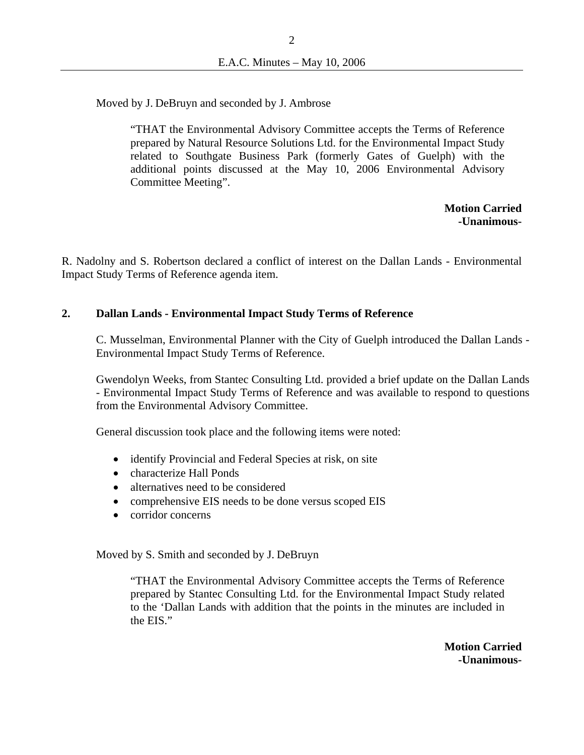Moved by J. DeBruyn and seconded by J. Ambrose

"THAT the Environmental Advisory Committee accepts the Terms of Reference prepared by Natural Resource Solutions Ltd. for the Environmental Impact Study related to Southgate Business Park (formerly Gates of Guelph) with the additional points discussed at the May 10, 2006 Environmental Advisory Committee Meeting".

> **Motion Carried -Unanimous-**

R. Nadolny and S. Robertson declared a conflict of interest on the Dallan Lands - Environmental Impact Study Terms of Reference agenda item.

#### **2. Dallan Lands - Environmental Impact Study Terms of Reference**

C. Musselman, Environmental Planner with the City of Guelph introduced the Dallan Lands - Environmental Impact Study Terms of Reference.

Gwendolyn Weeks, from Stantec Consulting Ltd. provided a brief update on the Dallan Lands - Environmental Impact Study Terms of Reference and was available to respond to questions from the Environmental Advisory Committee.

General discussion took place and the following items were noted:

- identify Provincial and Federal Species at risk, on site
- characterize Hall Ponds
- alternatives need to be considered
- comprehensive EIS needs to be done versus scoped EIS
- corridor concerns

Moved by S. Smith and seconded by J. DeBruyn

"THAT the Environmental Advisory Committee accepts the Terms of Reference prepared by Stantec Consulting Ltd. for the Environmental Impact Study related to the 'Dallan Lands with addition that the points in the minutes are included in the EIS."

> **Motion Carried -Unanimous-**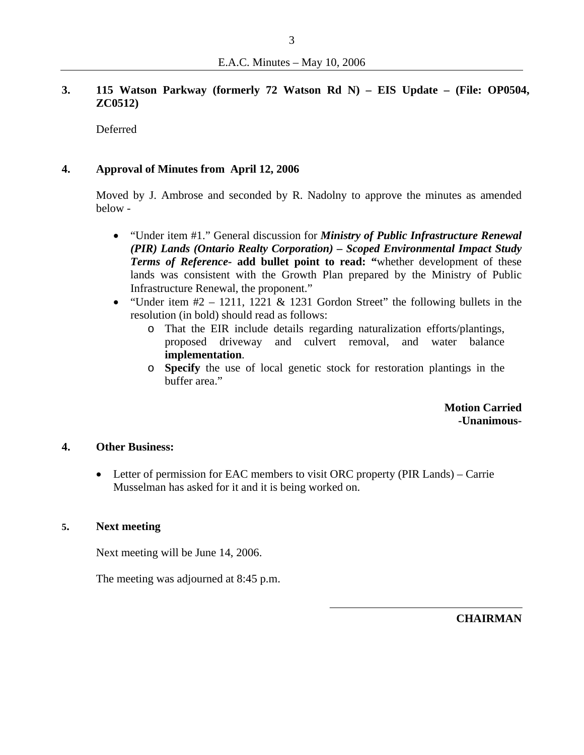### **3. 115 Watson Parkway (formerly 72 Watson Rd N) – EIS Update – (File: OP0504, ZC0512)**

Deferred

#### **4. Approval of Minutes from April 12, 2006**

Moved by J. Ambrose and seconded by R. Nadolny to approve the minutes as amended below -

- "Under item #1." General discussion for *Ministry of Public Infrastructure Renewal (PIR) Lands (Ontario Realty Corporation) – Scoped Environmental Impact Study Terms of Reference-* **add bullet point to read: "**whether development of these lands was consistent with the Growth Plan prepared by the Ministry of Public Infrastructure Renewal, the proponent."
- "Under item  $#2 1211$ , 1221 & 1231 Gordon Street" the following bullets in the resolution (in bold) should read as follows:
	- o That the EIR include details regarding naturalization efforts/plantings, proposed driveway and culvert removal, and water balance **implementation**.
	- o **Specify** the use of local genetic stock for restoration plantings in the buffer area."

**Motion Carried -Unanimous-**

#### **4. Other Business:**

• Letter of permission for EAC members to visit ORC property (PIR Lands) – Carrie Musselman has asked for it and it is being worked on.

#### **5. Next meeting**

Next meeting will be June 14, 2006.

The meeting was adjourned at 8:45 p.m.

**CHAIRMAN**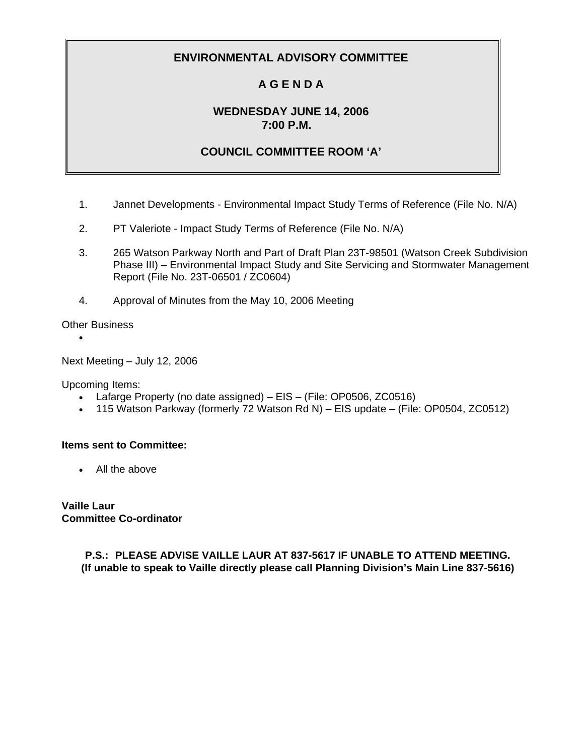# **A G E N D A**

## **WEDNESDAY JUNE 14, 2006 7:00 P.M.**

## **COUNCIL COMMITTEE ROOM 'A'**

- 1. Jannet Developments Environmental Impact Study Terms of Reference (File No. N/A)
- 2. PT Valeriote Impact Study Terms of Reference (File No. N/A)
- 3. 265 Watson Parkway North and Part of Draft Plan 23T-98501 (Watson Creek Subdivision Phase III) – Environmental Impact Study and Site Servicing and Stormwater Management Report (File No. 23T-06501 / ZC0604)
- 4. Approval of Minutes from the May 10, 2006 Meeting

Other Business

•

Next Meeting – July 12, 2006

Upcoming Items:

- Lafarge Property (no date assigned) EIS (File: OP0506, ZC0516)
- 115 Watson Parkway (formerly 72 Watson Rd N) EIS update (File: OP0504, ZC0512)

#### **Items sent to Committee:**

• All the above

**Vaille Laur Committee Co-ordinator** 

> **P.S.: PLEASE ADVISE VAILLE LAUR AT 837-5617 IF UNABLE TO ATTEND MEETING. (If unable to speak to Vaille directly please call Planning Division's Main Line 837-5616)**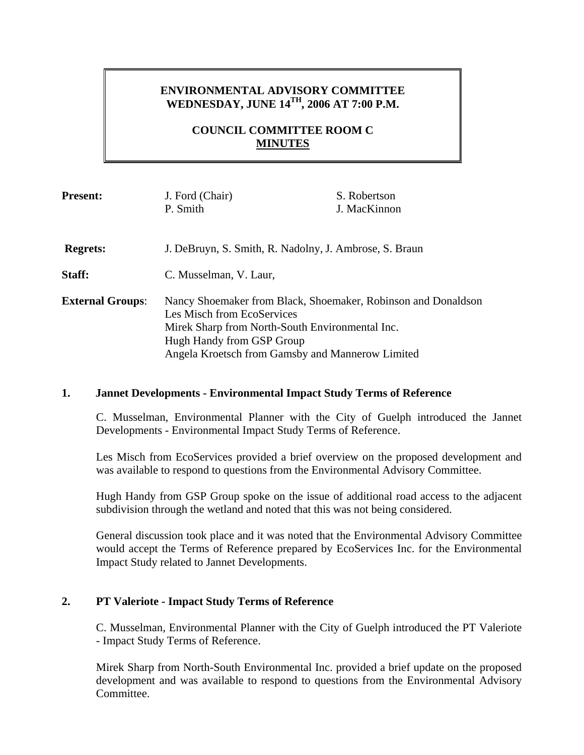## **ENVIRONMENTAL ADVISORY COMMITTEE WEDNESDAY, JUNE 14TH, 2006 AT 7:00 P.M.**

## **COUNCIL COMMITTEE ROOM C MINUTES**

| <b>Present:</b>         | J. Ford (Chair)                                                                             | S. Robertson |
|-------------------------|---------------------------------------------------------------------------------------------|--------------|
|                         | P. Smith                                                                                    | J. MacKinnon |
|                         |                                                                                             |              |
| <b>Regrets:</b>         | J. DeBruyn, S. Smith, R. Nadolny, J. Ambrose, S. Braun                                      |              |
| Staff:                  | C. Musselman, V. Laur,                                                                      |              |
| <b>External Groups:</b> | Nancy Shoemaker from Black, Shoemaker, Robinson and Donaldson<br>Les Misch from EcoServices |              |
|                         | Mirek Sharp from North-South Environmental Inc.                                             |              |
|                         | Hugh Handy from GSP Group                                                                   |              |
|                         | Angela Kroetsch from Gamsby and Mannerow Limited                                            |              |

#### **1. Jannet Developments - Environmental Impact Study Terms of Reference**

C. Musselman, Environmental Planner with the City of Guelph introduced the Jannet Developments - Environmental Impact Study Terms of Reference.

Les Misch from EcoServices provided a brief overview on the proposed development and was available to respond to questions from the Environmental Advisory Committee.

Hugh Handy from GSP Group spoke on the issue of additional road access to the adjacent subdivision through the wetland and noted that this was not being considered.

General discussion took place and it was noted that the Environmental Advisory Committee would accept the Terms of Reference prepared by EcoServices Inc. for the Environmental Impact Study related to Jannet Developments.

#### **2. PT Valeriote - Impact Study Terms of Reference**

C. Musselman, Environmental Planner with the City of Guelph introduced the PT Valeriote - Impact Study Terms of Reference.

 Mirek Sharp from North-South Environmental Inc. provided a brief update on the proposed development and was available to respond to questions from the Environmental Advisory Committee.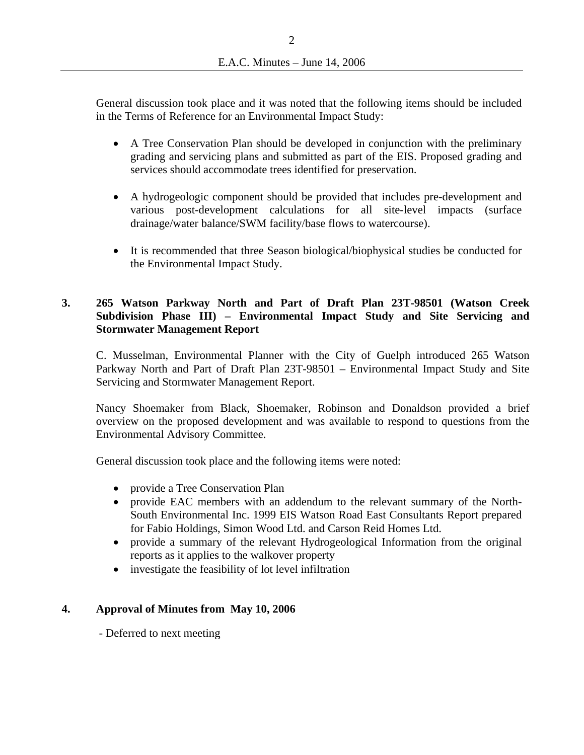General discussion took place and it was noted that the following items should be included in the Terms of Reference for an Environmental Impact Study:

- A Tree Conservation Plan should be developed in conjunction with the preliminary grading and servicing plans and submitted as part of the EIS. Proposed grading and services should accommodate trees identified for preservation.
- A hydrogeologic component should be provided that includes pre-development and various post-development calculations for all site-level impacts (surface drainage/water balance/SWM facility/base flows to watercourse).
- It is recommended that three Season biological/biophysical studies be conducted for the Environmental Impact Study.

## **3. 265 Watson Parkway North and Part of Draft Plan 23T-98501 (Watson Creek Subdivision Phase III) – Environmental Impact Study and Site Servicing and Stormwater Management Report**

C. Musselman, Environmental Planner with the City of Guelph introduced 265 Watson Parkway North and Part of Draft Plan 23T-98501 – Environmental Impact Study and Site Servicing and Stormwater Management Report.

Nancy Shoemaker from Black, Shoemaker, Robinson and Donaldson provided a brief overview on the proposed development and was available to respond to questions from the Environmental Advisory Committee.

General discussion took place and the following items were noted:

- provide a Tree Conservation Plan
- provide EAC members with an addendum to the relevant summary of the North-South Environmental Inc. 1999 EIS Watson Road East Consultants Report prepared for Fabio Holdings, Simon Wood Ltd. and Carson Reid Homes Ltd.
- provide a summary of the relevant Hydrogeological Information from the original reports as it applies to the walkover property
- investigate the feasibility of lot level infiltration

## **4. Approval of Minutes from May 10, 2006**

- Deferred to next meeting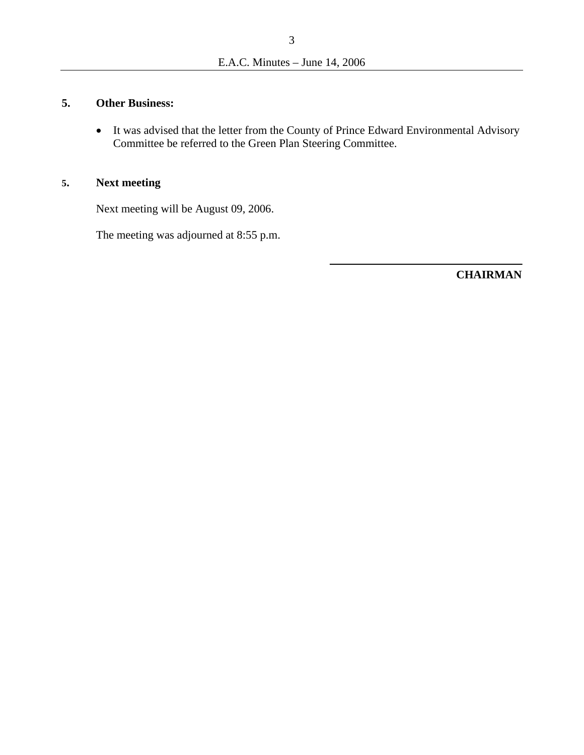## **5. Other Business:**

• It was advised that the letter from the County of Prince Edward Environmental Advisory Committee be referred to the Green Plan Steering Committee.

## **5. Next meeting**

Next meeting will be August 09, 2006.

The meeting was adjourned at 8:55 p.m.

**CHAIRMAN**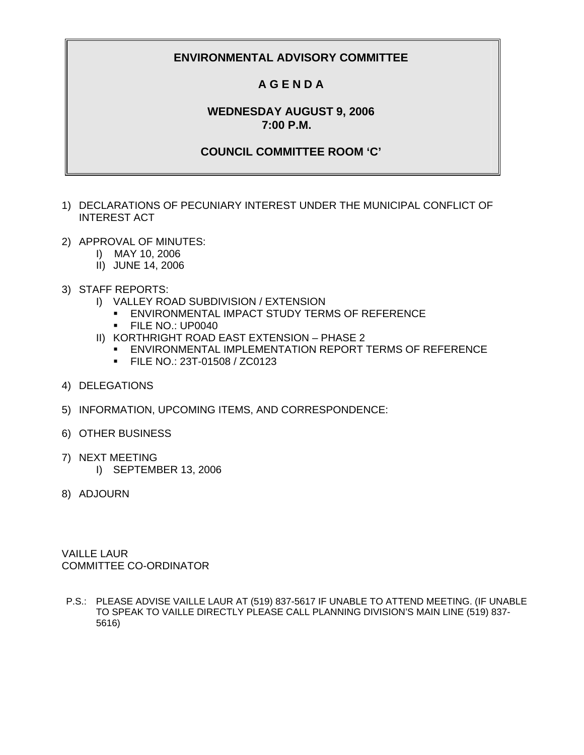## **A G E N D A**

### **WEDNESDAY AUGUST 9, 2006 7:00 P.M.**

### **COUNCIL COMMITTEE ROOM 'C'**

- 1) DECLARATIONS OF PECUNIARY INTEREST UNDER THE MUNICIPAL CONFLICT OF INTEREST ACT
- 2) APPROVAL OF MINUTES:
	- I) MAY 10, 2006
	- II) JUNE 14, 2006
- 3) STAFF REPORTS:
	- I) VALLEY ROAD SUBDIVISION / EXTENSION
		- ENVIRONMENTAL IMPACT STUDY TERMS OF REFERENCE
		- **FILE NO.: UP0040**
	- II) KORTHRIGHT ROAD EAST EXTENSION PHASE 2
		- ENVIRONMENTAL IMPLEMENTATION REPORT TERMS OF REFERENCE
		- **FILE NO.: 23T-01508 / ZC0123**
- 4) DELEGATIONS
- 5) INFORMATION, UPCOMING ITEMS, AND CORRESPONDENCE:
- 6) OTHER BUSINESS
- 7) NEXT MEETING
	- I) SEPTEMBER 13, 2006
- 8) ADJOURN

VAILLE LAUR COMMITTEE CO-ORDINATOR

P.S.: PLEASE ADVISE VAILLE LAUR AT (519) 837-5617 IF UNABLE TO ATTEND MEETING. (IF UNABLE TO SPEAK TO VAILLE DIRECTLY PLEASE CALL PLANNING DIVISION'S MAIN LINE (519) 837- 5616)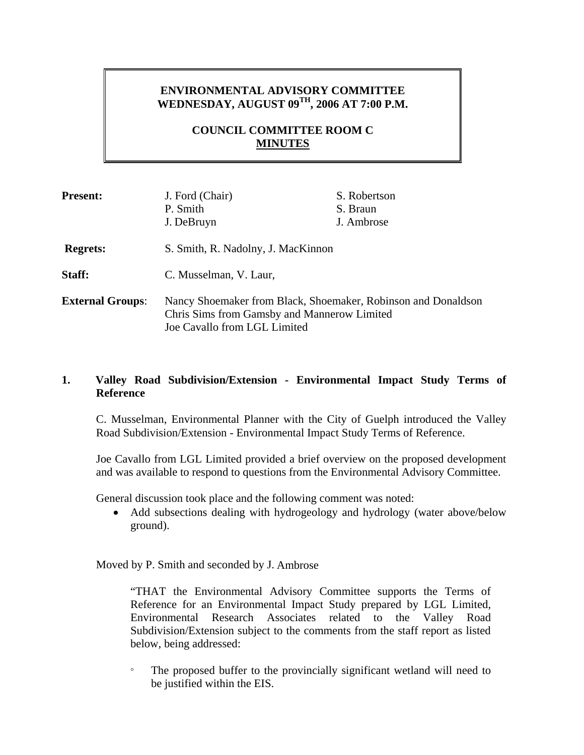## **ENVIRONMENTAL ADVISORY COMMITTEE WEDNESDAY, AUGUST 09TH, 2006 AT 7:00 P.M.**

## **COUNCIL COMMITTEE ROOM C MINUTES**

| <b>Present:</b>         | J. Ford (Chair)                                                                                                                              | S. Robertson |
|-------------------------|----------------------------------------------------------------------------------------------------------------------------------------------|--------------|
|                         | P. Smith                                                                                                                                     | S. Braun     |
|                         | J. DeBruyn                                                                                                                                   | J. Ambrose   |
| <b>Regrets:</b>         | S. Smith, R. Nadolny, J. MacKinnon                                                                                                           |              |
| Staff:                  | C. Musselman, V. Laur,                                                                                                                       |              |
| <b>External Groups:</b> | Nancy Shoemaker from Black, Shoemaker, Robinson and Donaldson<br>Chris Sims from Gamsby and Mannerow Limited<br>Joe Cavallo from LGL Limited |              |

#### **1. Valley Road Subdivision/Extension - Environmental Impact Study Terms of Reference**

C. Musselman, Environmental Planner with the City of Guelph introduced the Valley Road Subdivision/Extension - Environmental Impact Study Terms of Reference.

Joe Cavallo from LGL Limited provided a brief overview on the proposed development and was available to respond to questions from the Environmental Advisory Committee.

General discussion took place and the following comment was noted:

• Add subsections dealing with hydrogeology and hydrology (water above/below ground).

Moved by P. Smith and seconded by J. Ambrose

"THAT the Environmental Advisory Committee supports the Terms of Reference for an Environmental Impact Study prepared by LGL Limited, Environmental Research Associates related to the Valley Road Subdivision/Extension subject to the comments from the staff report as listed below, being addressed:

° The proposed buffer to the provincially significant wetland will need to be justified within the EIS.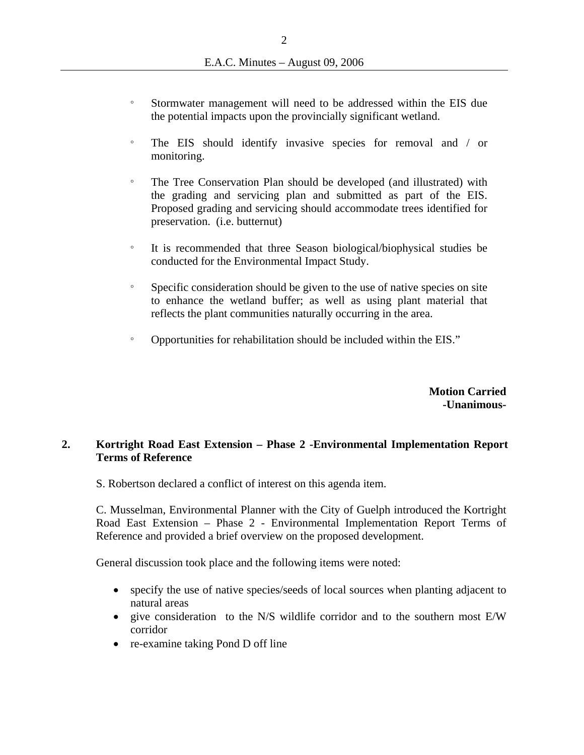- ° Stormwater management will need to be addressed within the EIS due the potential impacts upon the provincially significant wetland.
- ° The EIS should identify invasive species for removal and / or monitoring.
- ° The Tree Conservation Plan should be developed (and illustrated) with the grading and servicing plan and submitted as part of the EIS. Proposed grading and servicing should accommodate trees identified for preservation. (i.e. butternut)
- ° It is recommended that three Season biological/biophysical studies be conducted for the Environmental Impact Study.
- ° Specific consideration should be given to the use of native species on site to enhance the wetland buffer; as well as using plant material that reflects the plant communities naturally occurring in the area.
- ° Opportunities for rehabilitation should be included within the EIS."

**Motion Carried -Unanimous-**

### **2. Kortright Road East Extension – Phase 2 -Environmental Implementation Report Terms of Reference**

S. Robertson declared a conflict of interest on this agenda item.

C. Musselman, Environmental Planner with the City of Guelph introduced the Kortright Road East Extension – Phase 2 - Environmental Implementation Report Terms of Reference and provided a brief overview on the proposed development.

General discussion took place and the following items were noted:

- specify the use of native species/seeds of local sources when planting adjacent to natural areas
- give consideration to the N/S wildlife corridor and to the southern most E/W corridor
- re-examine taking Pond D off line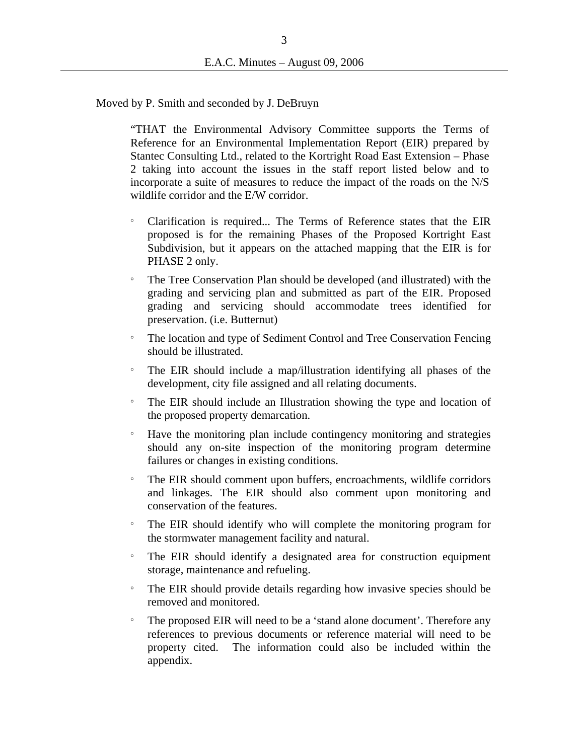Moved by P. Smith and seconded by J. DeBruyn

"THAT the Environmental Advisory Committee supports the Terms of Reference for an Environmental Implementation Report (EIR) prepared by Stantec Consulting Ltd., related to the Kortright Road East Extension – Phase 2 taking into account the issues in the staff report listed below and to incorporate a suite of measures to reduce the impact of the roads on the N/S wildlife corridor and the E/W corridor.

- Clarification is required... The Terms of Reference states that the EIR proposed is for the remaining Phases of the Proposed Kortright East Subdivision, but it appears on the attached mapping that the EIR is for PHASE 2 only.
- ° The Tree Conservation Plan should be developed (and illustrated) with the grading and servicing plan and submitted as part of the EIR. Proposed grading and servicing should accommodate trees identified for preservation. (i.e. Butternut)
- ° The location and type of Sediment Control and Tree Conservation Fencing should be illustrated.
- ° The EIR should include a map/illustration identifying all phases of the development, city file assigned and all relating documents.
- ° The EIR should include an Illustration showing the type and location of the proposed property demarcation.
- ° Have the monitoring plan include contingency monitoring and strategies should any on-site inspection of the monitoring program determine failures or changes in existing conditions.
- ° The EIR should comment upon buffers, encroachments, wildlife corridors and linkages. The EIR should also comment upon monitoring and conservation of the features.
- ° The EIR should identify who will complete the monitoring program for the stormwater management facility and natural.
- The EIR should identify a designated area for construction equipment storage, maintenance and refueling.
- ° The EIR should provide details regarding how invasive species should be removed and monitored.
- ° The proposed EIR will need to be a 'stand alone document'. Therefore any references to previous documents or reference material will need to be property cited. The information could also be included within the appendix.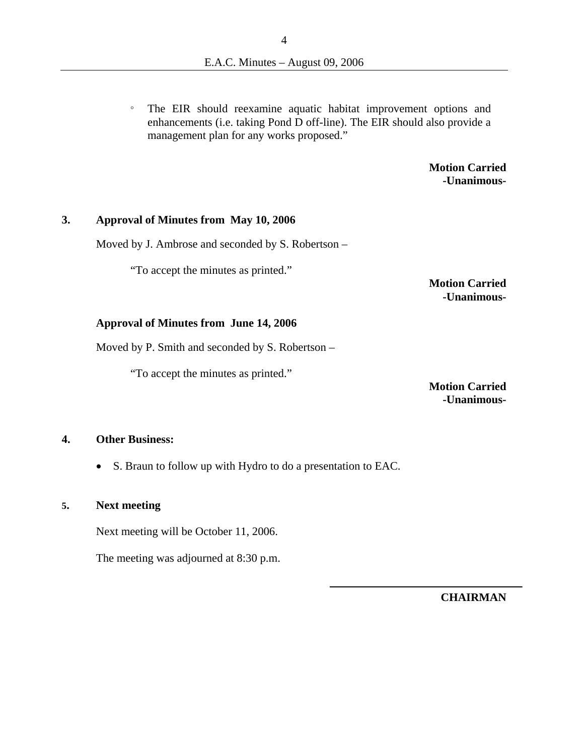° The EIR should reexamine aquatic habitat improvement options and enhancements (i.e. taking Pond D off-line). The EIR should also provide a management plan for any works proposed."

> **Motion Carried -Unanimous-**

#### **3. Approval of Minutes from May 10, 2006**

Moved by J. Ambrose and seconded by S. Robertson –

"To accept the minutes as printed."

**Motion Carried -Unanimous-** 

#### **Approval of Minutes from June 14, 2006**

Moved by P. Smith and seconded by S. Robertson –

"To accept the minutes as printed."

**Motion Carried -Unanimous-**

#### **4. Other Business:**

• S. Braun to follow up with Hydro to do a presentation to EAC.

#### **5. Next meeting**

Next meeting will be October 11, 2006.

The meeting was adjourned at 8:30 p.m.

**CHAIRMAN**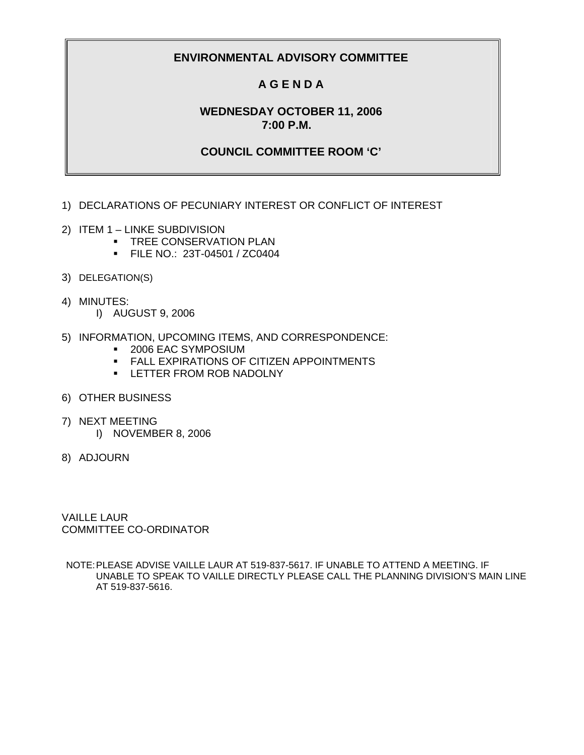## **A G E N D A**

### **WEDNESDAY OCTOBER 11, 2006 7:00 P.M.**

#### **COUNCIL COMMITTEE ROOM 'C'**

- 1) DECLARATIONS OF PECUNIARY INTEREST OR CONFLICT OF INTEREST
- 2) ITEM 1 LINKE SUBDIVISION
	- **TREE CONSERVATION PLAN**
	- **FILE NO.: 23T-04501 / ZC0404**
- 3) DELEGATION(S)
- 4) MINUTES:
	- I) AUGUST 9, 2006
- 5) INFORMATION, UPCOMING ITEMS, AND CORRESPONDENCE:
	- 2006 EAC SYMPOSIUM
	- **FALL EXPIRATIONS OF CITIZEN APPOINTMENTS**
	- **EXAMPLE THE R FROM ROB NADOLNY**
- 6) OTHER BUSINESS
- 7) NEXT MEETING
	- I) NOVEMBER 8, 2006
- 8) ADJOURN

VAILLE LAUR COMMITTEE CO-ORDINATOR

NOTE: PLEASE ADVISE VAILLE LAUR AT 519-837-5617. IF UNABLE TO ATTEND A MEETING. IF UNABLE TO SPEAK TO VAILLE DIRECTLY PLEASE CALL THE PLANNING DIVISION'S MAIN LINE AT 519-837-5616.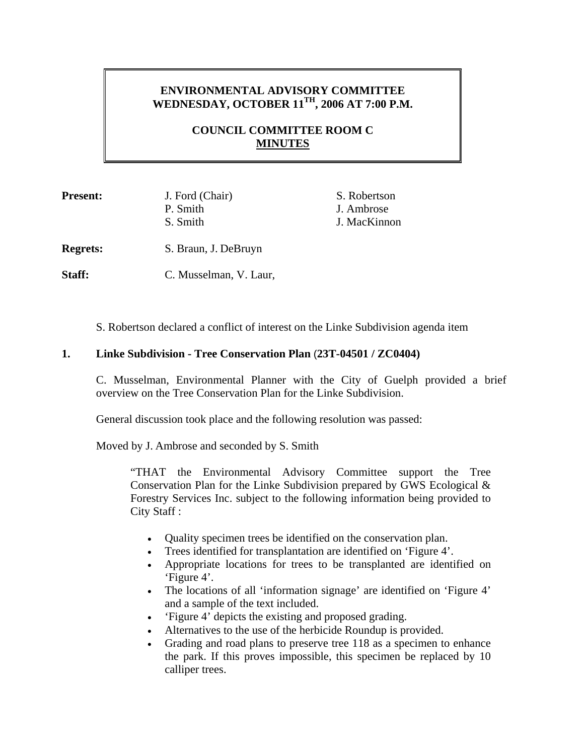# **ENVIRONMENTAL ADVISORY COMMITTEE WEDNESDAY, OCTOBER 11TH, 2006 AT 7:00 P.M.**

## **COUNCIL COMMITTEE ROOM C MINUTES**

| <b>Present:</b> | J. Ford (Chair) | S. Robertson |
|-----------------|-----------------|--------------|
|                 | P. Smith        | J. Ambrose   |
|                 | S. Smith        | J. MacKinnon |
|                 |                 |              |

**Regrets:** S. Braun, J. DeBruyn

Staff: C. Musselman, V. Laur,

S. Robertson declared a conflict of interest on the Linke Subdivision agenda item

### **1. Linke Subdivision - Tree Conservation Plan** (**23T-04501 / ZC0404)**

C. Musselman, Environmental Planner with the City of Guelph provided a brief overview on the Tree Conservation Plan for the Linke Subdivision.

General discussion took place and the following resolution was passed:

Moved by J. Ambrose and seconded by S. Smith

"THAT the Environmental Advisory Committee support the Tree Conservation Plan for the Linke Subdivision prepared by GWS Ecological  $\&$ Forestry Services Inc. subject to the following information being provided to City Staff :

- Quality specimen trees be identified on the conservation plan.
- Trees identified for transplantation are identified on 'Figure 4'.
- Appropriate locations for trees to be transplanted are identified on 'Figure 4'.
- The locations of all 'information signage' are identified on 'Figure 4' and a sample of the text included.
- 'Figure 4' depicts the existing and proposed grading.
- Alternatives to the use of the herbicide Roundup is provided.
- Grading and road plans to preserve tree 118 as a specimen to enhance the park. If this proves impossible, this specimen be replaced by 10 calliper trees.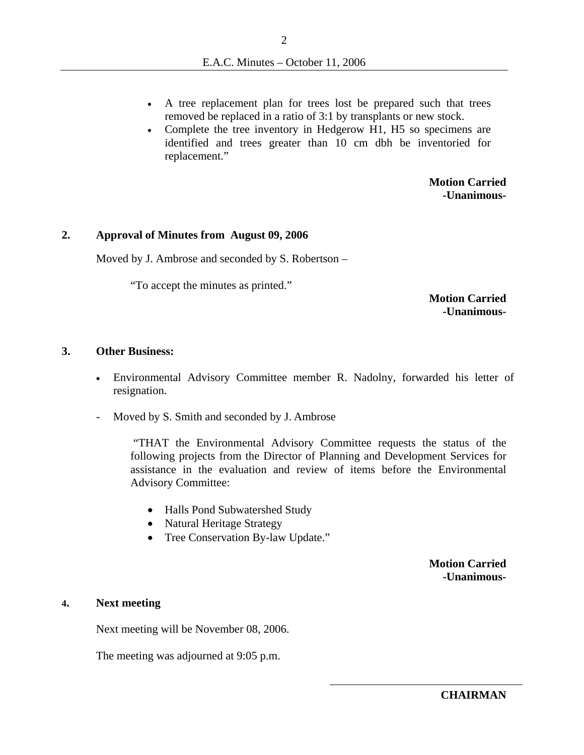- A tree replacement plan for trees lost be prepared such that trees removed be replaced in a ratio of 3:1 by transplants or new stock.
- Complete the tree inventory in Hedgerow H1, H5 so specimens are identified and trees greater than 10 cm dbh be inventoried for replacement."

**Motion Carried -Unanimous-**

#### **2. Approval of Minutes from August 09, 2006**

Moved by J. Ambrose and seconded by S. Robertson –

"To accept the minutes as printed."

**Motion Carried -Unanimous-**

#### **3. Other Business:**

- Environmental Advisory Committee member R. Nadolny, forwarded his letter of resignation.
- Moved by S. Smith and seconded by J. Ambrose

 "THAT the Environmental Advisory Committee requests the status of the following projects from the Director of Planning and Development Services for assistance in the evaluation and review of items before the Environmental Advisory Committee:

- Halls Pond Subwatershed Study
- Natural Heritage Strategy
- Tree Conservation By-law Update."

**Motion Carried -Unanimous-**

#### **4. Next meeting**

Next meeting will be November 08, 2006.

The meeting was adjourned at 9:05 p.m.